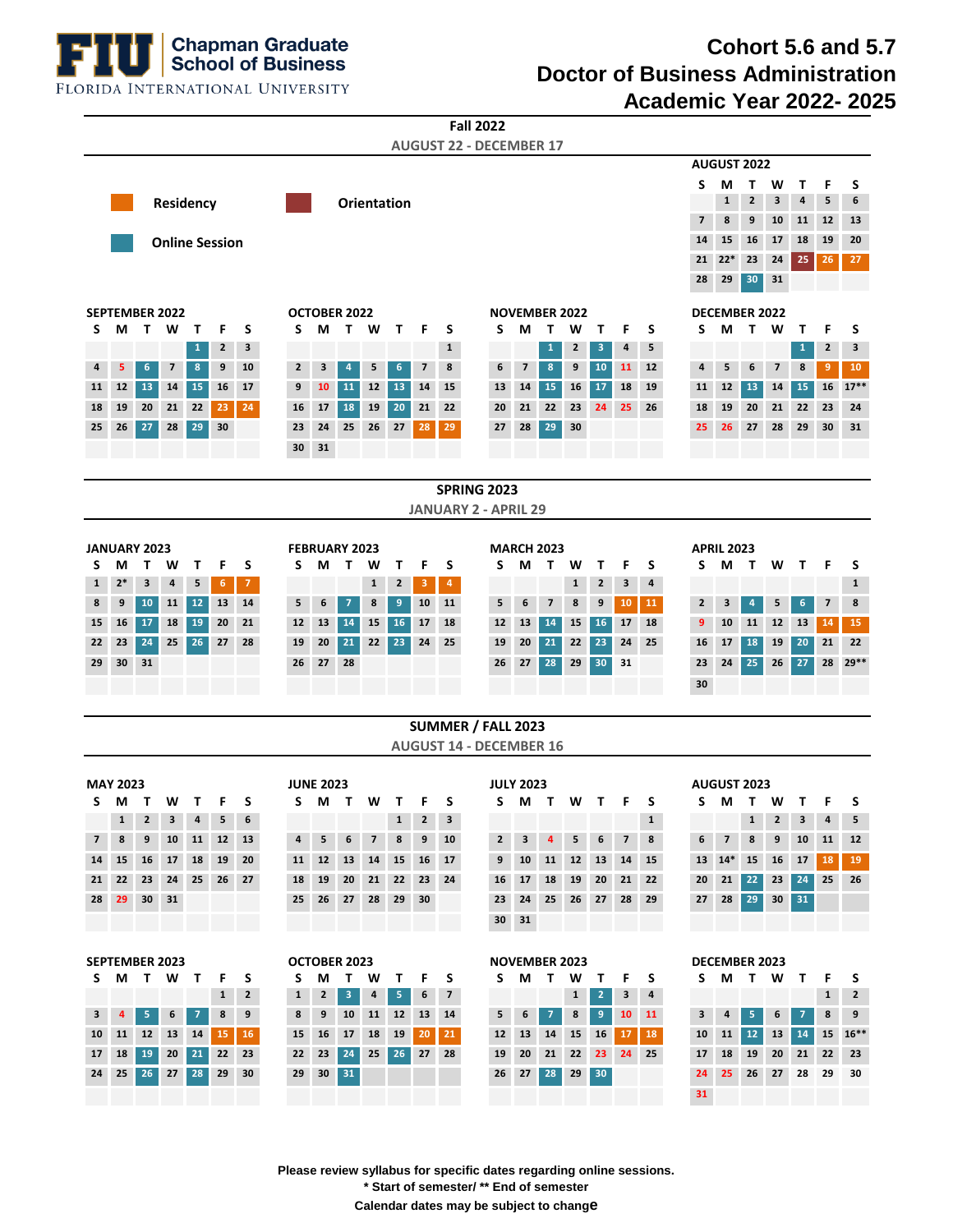**Chapman Graduate<br>School of Business** 

## **Cohort 5.6 and 5.7 Doctor of Business Administration Academic Year 2022- 2025**

**31**

FLORIDA INTERNATIONAL UNIVERSITY

| <b>Fall 2022</b><br><b>AUGUST 22 - DECEMBER 17</b>      |                       |                                                                                   |                          |                 |                       |              |                 |                 |                |                |              |              |                                  |                                           |                    |                         |                         |                   |                 |                          |              |                      |                      |              |                         |                 |                          |                 |  |  |
|---------------------------------------------------------|-----------------------|-----------------------------------------------------------------------------------|--------------------------|-----------------|-----------------------|--------------|-----------------|-----------------|----------------|----------------|--------------|--------------|----------------------------------|-------------------------------------------|--------------------|-------------------------|-------------------------|-------------------|-----------------|--------------------------|--------------|----------------------|----------------------|--------------|-------------------------|-----------------|--------------------------|-----------------|--|--|
|                                                         |                       |                                                                                   |                          |                 |                       |              |                 |                 |                |                |              |              |                                  |                                           |                    |                         |                         |                   |                 |                          |              |                      | <b>AUGUST 2022</b>   |              |                         |                 |                          |                 |  |  |
|                                                         |                       |                                                                                   |                          |                 |                       |              |                 |                 |                |                |              |              |                                  |                                           |                    |                         |                         |                   |                 |                          |              | S                    | М                    | Т            | W                       | Т               | F                        | S               |  |  |
| <b>Orientation</b><br>Residency                         |                       |                                                                                   |                          |                 |                       |              |                 |                 |                |                |              |              | $\mathbf{1}$                     | $\mathbf{2}$                              | 3                  | 4                       | 5                       | 6                 |                 |                          |              |                      |                      |              |                         |                 |                          |                 |  |  |
|                                                         |                       |                                                                                   |                          |                 |                       |              |                 |                 |                |                |              |              |                                  |                                           |                    |                         |                         |                   |                 | $\overline{\phantom{a}}$ | 8            | 9                    | 10                   | 11           | 12                      | 13              |                          |                 |  |  |
|                                                         |                       |                                                                                   |                          |                 | <b>Online Session</b> |              |                 |                 |                |                |              |              |                                  |                                           |                    |                         |                         |                   |                 |                          |              | 14                   | 15                   | 16           | 17                      | 18              | 19                       | 20              |  |  |
|                                                         |                       |                                                                                   |                          |                 |                       |              |                 |                 |                |                |              |              |                                  |                                           |                    |                         |                         |                   |                 | 21                       | $22*$        | 23                   | 24                   | 25           | 26                      | 27              |                          |                 |  |  |
|                                                         |                       |                                                                                   |                          |                 |                       |              |                 |                 |                |                |              |              |                                  |                                           |                    |                         |                         |                   |                 |                          |              | 28                   | 29                   | 30           | 31                      |                 |                          |                 |  |  |
| <b>SEPTEMBER 2022</b>                                   |                       |                                                                                   |                          |                 |                       |              |                 | OCTOBER 2022    |                |                |              |              |                                  |                                           |                    |                         |                         |                   |                 |                          |              |                      | <b>DECEMBER 2022</b> |              |                         |                 |                          |                 |  |  |
| $\mathbf{T}$<br>W<br>S<br>М<br>т<br>F<br>S              |                       |                                                                                   |                          |                 |                       | S            | M               | T W             |                | $\mathbf{T}$   | F            | S            |                                  | <b>NOVEMBER 2022</b><br>S<br>М<br>T.<br>W |                    |                         |                         |                   | F               | S                        | S            | М                    | $\mathbf{T}$         | W<br>F<br>Т  |                         |                 | S                        |                 |  |  |
|                                                         |                       |                                                                                   |                          | $\mathbf{1}$    | 2                     | 3            |                 |                 |                |                |              |              | $\mathbf{1}$                     |                                           |                    |                         | $\mathbf{1}$            | 2                 | 3               | 4                        | 5            |                      |                      |              |                         | 1               | $\mathbf{2}$             | 3               |  |  |
| 4                                                       | 5                     | 6                                                                                 | $\overline{\phantom{a}}$ | 8               | 9                     | 10           | $\mathbf{2}$    | 3               | $\overline{4}$ | 5              | 6            | 7            | 8                                |                                           | 6                  | $\overline{\mathbf{z}}$ | 8                       | 9                 | 10              | 11                       | 12           | 4                    | 5                    | 6            | 7                       | 8               | 9                        | 10              |  |  |
| 11                                                      | 12                    | 13                                                                                | 14                       | 15              | 16                    | 17           | 9               | 10              | <b>11</b>      | 12             | 13           | 14           | 15                               |                                           | 13                 | 14                      | 15                      | 16                | 17              | 18                       | 19           | 11                   | 12                   | 13           | 14                      | 15              | 16                       | $17***$         |  |  |
| 18                                                      | 19                    | 20                                                                                | 21                       | 22              | 23                    | 24           | 16              | 17              | 18             | 19             | 20           | 21           | 22                               |                                           | 20                 | 21                      | 22                      | 23                | 24              | 25                       | 26           | 18                   | 19                   | 20           | 21                      | 22              | 23                       | 24              |  |  |
| 25                                                      | 26                    | 27                                                                                | 28                       | 29              | 30                    |              | 23              | 24              | 25             | 26             | 27           | 28           | 29                               |                                           | 27                 | 28                      | 29                      | 30                |                 |                          |              | 25                   | 26                   | 27           | 28                      | 29              | 30                       | 31              |  |  |
|                                                         |                       |                                                                                   |                          |                 |                       |              | 30              | 31              |                |                |              |              |                                  |                                           |                    |                         |                         |                   |                 |                          |              |                      |                      |              |                         |                 |                          |                 |  |  |
|                                                         |                       |                                                                                   |                          |                 |                       |              |                 |                 |                |                |              |              |                                  |                                           |                    |                         |                         |                   |                 |                          |              |                      |                      |              |                         |                 |                          |                 |  |  |
| <b>SPRING 2023</b>                                      |                       |                                                                                   |                          |                 |                       |              |                 |                 |                |                |              |              |                                  |                                           |                    |                         |                         |                   |                 |                          |              |                      |                      |              |                         |                 |                          |                 |  |  |
| <b>JANUARY 2 - APRIL 29</b>                             |                       |                                                                                   |                          |                 |                       |              |                 |                 |                |                |              |              |                                  |                                           |                    |                         |                         |                   |                 |                          |              |                      |                      |              |                         |                 |                          |                 |  |  |
|                                                         |                       |                                                                                   |                          |                 |                       |              |                 |                 |                |                |              |              |                                  |                                           |                    |                         |                         |                   |                 |                          |              |                      | <b>APRIL 2023</b>    |              |                         |                 |                          |                 |  |  |
| S                                                       | М                     | JANUARY 2023<br><b>FEBRUARY 2023</b><br>F<br>S<br>W<br>т<br>S<br>W<br>т<br>М<br>т |                          |                 |                       |              |                 |                 | т              | F              | S            |              | <b>MARCH 2023</b><br>S<br>М<br>т |                                           |                    |                         | т                       | F                 | S               | S                        | М            | т                    | W                    | Т            | F                       | S               |                          |                 |  |  |
| 1                                                       | $2*$                  | 3                                                                                 | 4                        | 5               | 6                     | $\mathbf{7}$ |                 |                 |                | $\mathbf{1}$   | 2            | 3            | 4                                |                                           |                    |                         |                         | W<br>$\mathbf{1}$ | $\mathbf{2}$    | 3                        | 4            |                      |                      |              |                         |                 |                          | $\mathbf{1}$    |  |  |
| 8                                                       | 9                     | 10                                                                                | 11                       | 12              | 13                    | 14           | 5               | 6               | 7              | 8              | 9            | 10           | 11                               |                                           | 5                  | 6                       | $\overline{\mathbf{z}}$ | 8                 | 9               | 10                       | 11           | $\mathbf{2}$         | 3                    | 4            | 5                       | 6               | $\overline{\phantom{a}}$ | 8               |  |  |
| 15                                                      | 16                    | 17                                                                                | 18                       | 19              | 20                    | 21           | 12 <sup>2</sup> | 13              | 14             | 15             | 16           | 17           | 18                               |                                           | 12                 | 13                      | 14                      | 15                | 16              | 17                       | 18           | 9                    | 10                   | 11           | 12                      | 13              | 14                       | 15              |  |  |
| 22                                                      | 23                    | 24                                                                                | 25                       | 26              | 27                    | 28           | 19              | 20              | 21             | 22             | 23           | 24           | 25                               |                                           | 19                 | 20                      | 21                      | 22                | 23              | 24                       | 25           | 16                   | 17                   | 18           | 19                      | 20              | 21                       | 22              |  |  |
| 29                                                      | 30                    | 31                                                                                |                          |                 |                       |              | 26              | 27              | 28             |                |              |              |                                  |                                           | 26                 | 27                      | 28                      | 29                | 30              | 31                       |              | 23                   | 24                   | 25           | 26                      | 27              | 28                       | $29**$          |  |  |
|                                                         |                       |                                                                                   |                          |                 |                       |              |                 |                 |                |                |              |              |                                  |                                           |                    |                         |                         |                   |                 |                          |              | 30                   |                      |              |                         |                 |                          |                 |  |  |
|                                                         |                       |                                                                                   |                          |                 |                       |              |                 |                 |                |                |              |              |                                  |                                           |                    |                         |                         |                   |                 |                          |              |                      |                      |              |                         |                 |                          |                 |  |  |
| SUMMER / FALL 2023                                      |                       |                                                                                   |                          |                 |                       |              |                 |                 |                |                |              |              |                                  |                                           |                    |                         |                         |                   |                 |                          |              |                      |                      |              |                         |                 |                          |                 |  |  |
| <b>AUGUST 14 - DECEMBER 16</b>                          |                       |                                                                                   |                          |                 |                       |              |                 |                 |                |                |              |              |                                  |                                           |                    |                         |                         |                   |                 |                          |              |                      |                      |              |                         |                 |                          |                 |  |  |
| <b>MAY 2023</b><br><b>JUNE 2023</b><br><b>JULY 2023</b> |                       |                                                                                   |                          |                 |                       |              |                 |                 |                |                |              |              |                                  |                                           | <b>AUGUST 2023</b> |                         |                         |                   |                 |                          |              |                      |                      |              |                         |                 |                          |                 |  |  |
| S.<br>M<br>W<br>$\mathbf{T}$<br>F<br>S<br>$\mathsf{T}$  |                       |                                                                                   |                          |                 |                       |              |                 | S M T W         |                | $\mathbf{T}$   | F            | S            |                                  | S.                                        |                    | M T                     |                         | W T               | F               | S                        | S.           | M                    | $\mathbf{T}$         | W            | Т                       | F               | S                        |                 |  |  |
|                                                         | $\mathbf{1}$          | $\overline{2}$                                                                    | 3                        | 4               | 5                     | 6            |                 |                 |                |                | $\mathbf{1}$ | $\mathbf{2}$ | $\mathbf{3}$                     |                                           |                    |                         |                         |                   |                 |                          | $\mathbf{1}$ |                      |                      | $\mathbf{1}$ | $\overline{\mathbf{2}}$ | 3               | 4                        | 5               |  |  |
| 7 <sup>7</sup>                                          | 8                     | 9                                                                                 | 10 <sup>1</sup>          | 11              | 12                    | 13           | $\overline{4}$  | 5               | 6              | $\overline{7}$ | 8            | 9            | 10                               |                                           | 2 <sup>2</sup>     | $\mathbf{3}$            | $\overline{4}$          | 5                 | 6               | $\overline{7}$           | 8            | 6                    | $\overline{7}$       | 8            | 9                       | 10 <sup>1</sup> | 11                       | 12 <sup>2</sup> |  |  |
| 14                                                      | 15                    | 16                                                                                | 17                       | 18              | 19                    | 20           | 11              | 12              | 13             | 14             | 15           | 16           | 17                               |                                           | 9                  | 10                      | 11                      | 12 <sup>2</sup>   | 13              | 14                       | 15           | 13                   | $14*$                | 15           | 16                      | 17              | 18                       | 19              |  |  |
| 21                                                      | 22                    | 23                                                                                | 24                       | 25 <sub>1</sub> | 26                    | 27           | 18              | 19              | 20             | 21             | 22           | 23           | 24                               |                                           | 16                 | 17 <sup>1</sup>         | 18                      | 19                | 20              | 21                       | 22           | 20                   | 21                   | 22           | 23                      | 24              | 25                       | 26              |  |  |
| 28 <sup>1</sup>                                         | 29                    | 30 <sup>°</sup>                                                                   | 31                       |                 |                       |              | 25              | 26              | 27             | 28             | 29           | 30           |                                  |                                           | 23                 | 24                      | 25                      |                   | 26 27           | 28                       | 29           | 27                   | 28                   | 29           | 30                      | 31              |                          |                 |  |  |
|                                                         |                       |                                                                                   |                          |                 |                       |              |                 |                 |                |                |              |              |                                  |                                           | 30 <sub>2</sub>    | 31                      |                         |                   |                 |                          |              |                      |                      |              |                         |                 |                          |                 |  |  |
|                                                         |                       |                                                                                   |                          |                 |                       |              |                 |                 |                |                |              |              |                                  |                                           |                    |                         |                         |                   |                 |                          |              |                      |                      |              |                         |                 |                          |                 |  |  |
|                                                         | <b>SEPTEMBER 2023</b> |                                                                                   |                          |                 |                       |              | OCTOBER 2023    |                 |                |                |              |              |                                  | <b>NOVEMBER 2023</b>                      |                    |                         |                         |                   |                 |                          |              | <b>DECEMBER 2023</b> |                      |              |                         |                 |                          |                 |  |  |
| S.                                                      |                       | M T W                                                                             |                          | $\mathbf{T}$    | F                     | S            | S.              |                 | M T W          |                | T.           | F            | S                                |                                           | S.                 |                         | M T                     | W                 | Τ               | F                        | S            | S.                   |                      | M T W T      |                         |                 | F                        | S               |  |  |
|                                                         |                       |                                                                                   |                          |                 | $\mathbf 1$           | $\mathbf{2}$ | $\mathbf{1}$    | $2^{\circ}$     | 3              | 4              | 5            | 6            | $\overline{7}$                   |                                           |                    |                         |                         | $\mathbf{1}$      | $\overline{2}$  | 3                        | 4            |                      |                      |              |                         |                 | $\mathbf{1}$             | $\mathbf{2}$    |  |  |
| 3                                                       | 4                     | 5                                                                                 | 6                        | $\overline{7}$  | 8                     | 9            | 8               | 9               | 10             |                | 11 12        |              | 13 14                            |                                           | 5                  | 6                       | 7                       | 8                 | 9               | 10                       | <b>11</b>    | 3                    | 4                    | 5            | 6                       | 7               | 8                        | 9               |  |  |
| 10                                                      | 11                    | $12$                                                                              | 13                       | 14              | 15                    | 16           | 15              | 16              | 17             | 18             | 19           | 20           | 21                               |                                           | 12                 | 13                      | 14                      | 15                | 16              | 17                       | 18           | 10                   | 11                   | $12$         | 13                      | 14              | 15                       | $16***$         |  |  |
| 17                                                      | 18                    | 19                                                                                | 20 <sub>2</sub>          | 21              | 22                    | 23           | 22              | 23              | 24             | 25             | 26           |              | 27 28                            |                                           | 19                 | 20 <sub>2</sub>         | 21                      | 22                | 23 <sup>°</sup> | 24                       | 25           | 17                   | 18                   | 19           | 20                      | 21              | 22                       | 23              |  |  |
| 24                                                      | 25                    | 26 <sup>°</sup>                                                                   | 27                       | 28              | 29                    | 30           | 29              | 30 <sub>2</sub> | 31             |                |              |              |                                  |                                           | 26                 |                         | $27$ 28                 | 29                | 30 <sub>2</sub> |                          |              | 24                   | 25                   | 26           | 27                      | 28              | 29                       | 30              |  |  |

**Please review syllabus for specific dates regarding online sessions. \* Start of semester/ \*\* End of semester Calendar dates may be subject to change**